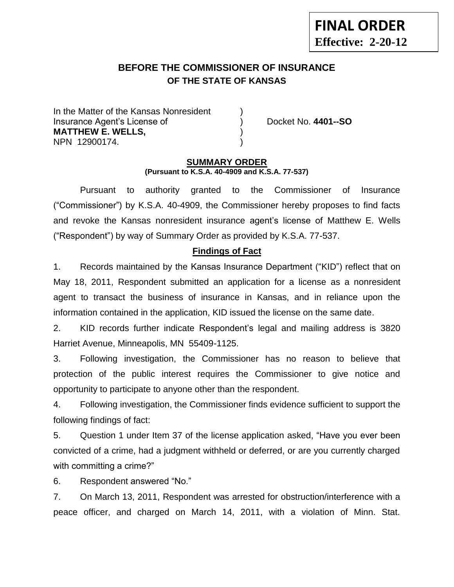# **BEFORE THE COMMISSIONER OF INSURANCE OF THE STATE OF KANSAS**

In the Matter of the Kansas Nonresident Insurance Agent's License of ) Docket No. **4401--SO MATTHEW E. WELLS,** ) NPN 12900174. )

### **SUMMARY ORDER (Pursuant to K.S.A. 40-4909 and K.S.A. 77-537)**

Pursuant to authority granted to the Commissioner of Insurance ("Commissioner") by K.S.A. 40-4909, the Commissioner hereby proposes to find facts and revoke the Kansas nonresident insurance agent's license of Matthew E. Wells ("Respondent") by way of Summary Order as provided by K.S.A. 77-537.

## **Findings of Fact**

1. Records maintained by the Kansas Insurance Department ("KID") reflect that on May 18, 2011, Respondent submitted an application for a license as a nonresident agent to transact the business of insurance in Kansas, and in reliance upon the information contained in the application, KID issued the license on the same date.

2. KID records further indicate Respondent's legal and mailing address is 3820 Harriet Avenue, Minneapolis, MN 55409-1125.

3. Following investigation, the Commissioner has no reason to believe that protection of the public interest requires the Commissioner to give notice and opportunity to participate to anyone other than the respondent.

4. Following investigation, the Commissioner finds evidence sufficient to support the following findings of fact:

5. Question 1 under Item 37 of the license application asked, "Have you ever been convicted of a crime, had a judgment withheld or deferred, or are you currently charged with committing a crime?"

6. Respondent answered "No."

7. On March 13, 2011, Respondent was arrested for obstruction/interference with a peace officer, and charged on March 14, 2011, with a violation of Minn. Stat.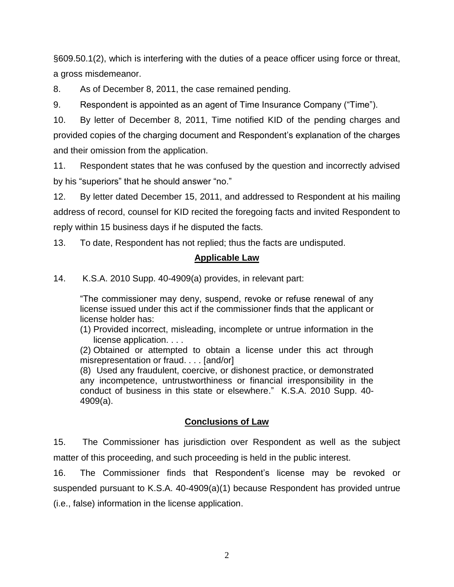§609.50.1(2), which is interfering with the duties of a peace officer using force or threat, a gross misdemeanor.

8. As of December 8, 2011, the case remained pending.

9. Respondent is appointed as an agent of Time Insurance Company ("Time").

10. By letter of December 8, 2011, Time notified KID of the pending charges and provided copies of the charging document and Respondent's explanation of the charges and their omission from the application.

11. Respondent states that he was confused by the question and incorrectly advised by his "superiors" that he should answer "no."

12. By letter dated December 15, 2011, and addressed to Respondent at his mailing address of record, counsel for KID recited the foregoing facts and invited Respondent to reply within 15 business days if he disputed the facts.

13. To date, Respondent has not replied; thus the facts are undisputed.

## **Applicable Law**

14. K.S.A. 2010 Supp. 40-4909(a) provides, in relevant part:

"The commissioner may deny, suspend, revoke or refuse renewal of any license issued under this act if the commissioner finds that the applicant or license holder has:

(1) Provided incorrect, misleading, incomplete or untrue information in the license application. . . .

(2) Obtained or attempted to obtain a license under this act through misrepresentation or fraud. . . . [and/or]

(8) Used any fraudulent, coercive, or dishonest practice, or demonstrated any incompetence, untrustworthiness or financial irresponsibility in the conduct of business in this state or elsewhere." K.S.A. 2010 Supp. 40- 4909(a).

# **Conclusions of Law**

15. The Commissioner has jurisdiction over Respondent as well as the subject matter of this proceeding, and such proceeding is held in the public interest.

16. The Commissioner finds that Respondent's license may be revoked or suspended pursuant to K.S.A. 40-4909(a)(1) because Respondent has provided untrue (i.e., false) information in the license application.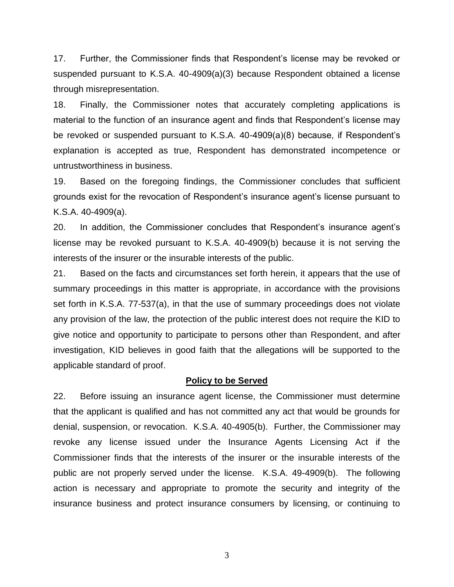17. Further, the Commissioner finds that Respondent's license may be revoked or suspended pursuant to K.S.A. 40-4909(a)(3) because Respondent obtained a license through misrepresentation.

18. Finally, the Commissioner notes that accurately completing applications is material to the function of an insurance agent and finds that Respondent's license may be revoked or suspended pursuant to K.S.A. 40-4909(a)(8) because, if Respondent's explanation is accepted as true, Respondent has demonstrated incompetence or untrustworthiness in business.

19. Based on the foregoing findings, the Commissioner concludes that sufficient grounds exist for the revocation of Respondent's insurance agent's license pursuant to K.S.A. 40-4909(a).

20. In addition, the Commissioner concludes that Respondent's insurance agent's license may be revoked pursuant to K.S.A. 40-4909(b) because it is not serving the interests of the insurer or the insurable interests of the public.

21. Based on the facts and circumstances set forth herein, it appears that the use of summary proceedings in this matter is appropriate, in accordance with the provisions set forth in K.S.A. 77-537(a), in that the use of summary proceedings does not violate any provision of the law, the protection of the public interest does not require the KID to give notice and opportunity to participate to persons other than Respondent, and after investigation, KID believes in good faith that the allegations will be supported to the applicable standard of proof.

#### **Policy to be Served**

22. Before issuing an insurance agent license, the Commissioner must determine that the applicant is qualified and has not committed any act that would be grounds for denial, suspension, or revocation. K.S.A. 40-4905(b). Further, the Commissioner may revoke any license issued under the Insurance Agents Licensing Act if the Commissioner finds that the interests of the insurer or the insurable interests of the public are not properly served under the license. K.S.A. 49-4909(b). The following action is necessary and appropriate to promote the security and integrity of the insurance business and protect insurance consumers by licensing, or continuing to

3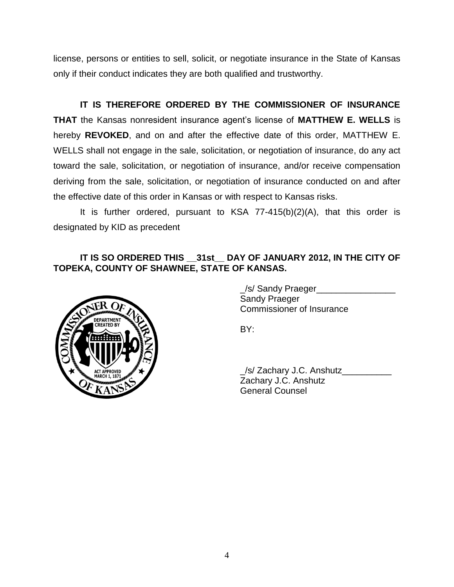license, persons or entities to sell, solicit, or negotiate insurance in the State of Kansas only if their conduct indicates they are both qualified and trustworthy.

**IT IS THEREFORE ORDERED BY THE COMMISSIONER OF INSURANCE THAT** the Kansas nonresident insurance agent's license of **MATTHEW E. WELLS** is hereby **REVOKED**, and on and after the effective date of this order, MATTHEW E. WELLS shall not engage in the sale, solicitation, or negotiation of insurance, do any act toward the sale, solicitation, or negotiation of insurance, and/or receive compensation deriving from the sale, solicitation, or negotiation of insurance conducted on and after the effective date of this order in Kansas or with respect to Kansas risks.

It is further ordered, pursuant to KSA 77-415(b)(2)(A), that this order is designated by KID as precedent

## **IT IS SO ORDERED THIS \_\_31st\_\_ DAY OF JANUARY 2012, IN THE CITY OF TOPEKA, COUNTY OF SHAWNEE, STATE OF KANSAS.**



\_/s/ Sandy Praeger\_\_\_\_\_\_\_\_\_\_\_\_\_\_\_\_ Sandy Praeger Commissioner of Insurance

BY:

\_/s/ Zachary J.C. Anshutz\_\_\_\_\_\_\_\_\_\_ Zachary J.C. Anshutz General Counsel